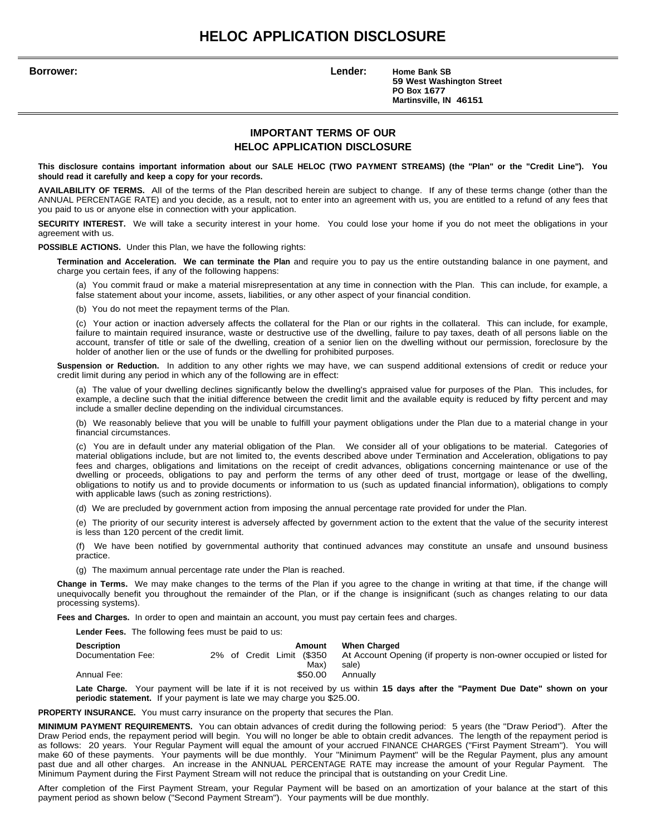# **HELOC APPLICATION DISCLOSURE**

**Borrower: Lender: Home Bank SB 59 West Washington Street PO Box 1677 Martinsville, IN 46151**

## **IMPORTANT TERMS OF OUR HELOC APPLICATION DISCLOSURE**

This disclosure contains important information about our SALE HELOC (TWO PAYMENT STREAMS) (the "Plan" or the "Credit Line"). You **should read it carefully and keep a copy for your records.**

**AVAILABILITY OF TERMS.** All of the terms of the Plan described herein are subject to change. If any of these terms change (other than the ANNUAL PERCENTAGE RATE) and you decide, as a result, not to enter into an agreement with us, you are entitled to a refund of any fees that you paid to us or anyone else in connection with your application.

**SECURITY INTEREST.** We will take a security interest in your home. You could lose your home if you do not meet the obligations in your agreement with us.

**POSSIBLE ACTIONS.** Under this Plan, we have the following rights:

**Termination and Acceleration. We can terminate the Plan** and require you to pay us the entire outstanding balance in one payment, and charge you certain fees, if any of the following happens:

(a) You commit fraud or make a material misrepresentation at any time in connection with the Plan. This can include, for example, a false statement about your income, assets, liabilities, or any other aspect of your financial condition.

(b) You do not meet the repayment terms of the Plan.

(c) Your action or inaction adversely affects the collateral for the Plan or our rights in the collateral. This can include, for example, failure to maintain required insurance, waste or destructive use of the dwelling, failure to pay taxes, death of all persons liable on the account, transfer of title or sale of the dwelling, creation of a senior lien on the dwelling without our permission, foreclosure by the holder of another lien or the use of funds or the dwelling for prohibited purposes.

**Suspension or Reduction.** In addition to any other rights we may have, we can suspend additional extensions of credit or reduce your credit limit during any period in which any of the following are in effect:

(a) The value of your dwelling declines significantly below the dwelling's appraised value for purposes of the Plan. This includes, for example, a decline such that the initial difference between the credit limit and the available equity is reduced by fifty percent and may include a smaller decline depending on the individual circumstances.

(b) We reasonably believe that you will be unable to fulfill your payment obligations under the Plan due to a material change in your financial circumstances.

(c) You are in default under any material obligation of the Plan. We consider all of your obligations to be material. Categories of material obligations include, but are not limited to, the events described above under Termination and Acceleration, obligations to pay fees and charges, obligations and limitations on the receipt of credit advances, obligations concerning maintenance or use of the dwelling or proceeds, obligations to pay and perform the terms of any other deed of trust, mortgage or lease of the dwelling, obligations to notify us and to provide documents or information to us (such as updated financial information), obligations to comply with applicable laws (such as zoning restrictions).

(d) We are precluded by government action from imposing the annual percentage rate provided for under the Plan.

(e) The priority of our security interest is adversely affected by government action to the extent that the value of the security interest is less than 120 percent of the credit limit.

(f) We have been notified by governmental authority that continued advances may constitute an unsafe and unsound business practice.

(g) The maximum annual percentage rate under the Plan is reached.

**Change in Terms.** We may make changes to the terms of the Plan if you agree to the change in writing at that time, if the change will unequivocally benefit you throughout the remainder of the Plan, or if the change is insignificant (such as changes relating to our data processing systems).

**Fees and Charges.** In order to open and maintain an account, you must pay certain fees and charges.

**Lender Fees.** The following fees must be paid to us:

| Description        |  |  | Amount                    | When Charged                                                        |
|--------------------|--|--|---------------------------|---------------------------------------------------------------------|
| Documentation Fee: |  |  | 2% of Credit Limit (\$350 | At Account Opening (if property is non-owner occupied or listed for |
|                    |  |  | Max)                      | sale)                                                               |
| Annual Fee:        |  |  | \$50.00                   | Annually                                                            |
|                    |  |  |                           |                                                                     |

**Late Charge.** Your payment will be late if it is not received by us within **15 days after the "Payment Due Date" shown on your periodic statement.** If your payment is late we may charge you \$25.00.

**PROPERTY INSURANCE.** You must carry insurance on the property that secures the Plan.

**MINIMUM PAYMENT REQUIREMENTS.** You can obtain advances of credit during the following period: 5 years (the "Draw Period"). After the Draw Period ends, the repayment period will begin. You will no longer be able to obtain credit advances. The length of the repayment period is as follows: 20 years. Your Regular Payment will equal the amount of your accrued FINANCE CHARGES ("First Payment Stream"). You will make 60 of these payments. Your payments will be due monthly. Your "Minimum Payment" will be the Regular Payment, plus any amount past due and all other charges. An increase in the ANNUAL PERCENTAGE RATE may increase the amount of your Regular Payment. The Minimum Payment during the First Payment Stream will not reduce the principal that is outstanding on your Credit Line.

After completion of the First Payment Stream, your Regular Payment will be based on an amortization of your balance at the start of this payment period as shown below ("Second Payment Stream"). Your payments will be due monthly.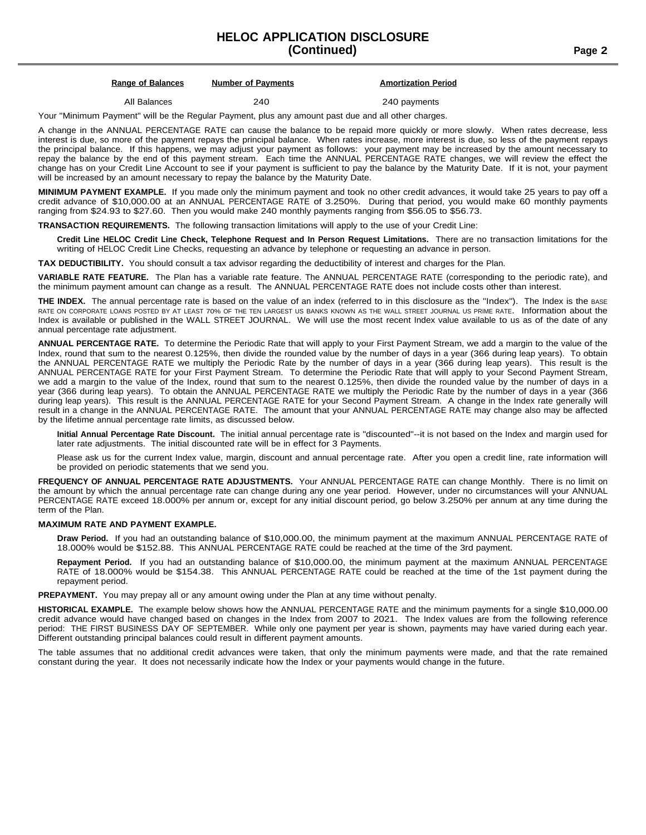## **HELOC APPLICATION DISCLOSURE (Continued) Page 2**

#### **Range of Balances Number of Payments Amortization Period**

## All Balances **240 240 240 240 240 240 240 240 240 240**

Your "Minimum Payment" will be the Regular Payment, plus any amount past due and all other charges.

A change in the ANNUAL PERCENTAGE RATE can cause the balance to be repaid more quickly or more slowly. When rates decrease, less interest is due, so more of the payment repays the principal balance. When rates increase, more interest is due, so less of the payment repays the principal balance. If this happens, we may adjust your payment as follows: your payment may be increased by the amount necessary to repay the balance by the end of this payment stream. Each time the ANNUAL PERCENTAGE RATE changes, we will review the effect the change has on your Credit Line Account to see if your payment is sufficient to pay the balance by the Maturity Date. If it is not, your payment will be increased by an amount necessary to repay the balance by the Maturity Date.

**MINIMUM PAYMENT EXAMPLE.** If you made only the minimum payment and took no other credit advances, it would take 25 years to pay off a credit advance of \$10,000.00 at an ANNUAL PERCENTAGE RATE of 3.250%. During that period, you would make 60 monthly payments ranging from \$24.93 to \$27.60. Then you would make 240 monthly payments ranging from \$56.05 to \$56.73.

**TRANSACTION REQUIREMENTS.** The following transaction limitations will apply to the use of your Credit Line:

Credit Line HELOC Credit Line Check, Telephone Request and In Person Request Limitations. There are no transaction limitations for the writing of HELOC Credit Line Checks, requesting an advance by telephone or requesting an advance in person.

**TAX DEDUCTIBILITY.** You should consult a tax advisor regarding the deductibility of interest and charges for the Plan.

**VARIABLE RATE FEATURE.** The Plan has a variable rate feature. The ANNUAL PERCENTAGE RATE (corresponding to the periodic rate), and the minimum payment amount can change as a result. The ANNUAL PERCENTAGE RATE does not include costs other than interest.

THE INDEX. The annual percentage rate is based on the value of an index (referred to in this disclosure as the "Index"). The Index is the BASE RATE ON CORPORATE LOANS POSTED BY AT LEAST 70% OF THE TEN LARGEST US BANKS KNOWN AS THE WALL STREET JOURNAL US PRIME RATE. Information about the Index is available or published in the WALL STREET JOURNAL. We will use the most recent Index value available to us as of the date of any annual percentage rate adjustment.

**ANNUAL PERCENTAGE RATE.** To determine the Periodic Rate that will apply to your First Payment Stream, we add a margin to the value of the Index, round that sum to the nearest 0.125%, then divide the rounded value by the number of days in a year (366 during leap years). To obtain the ANNUAL PERCENTAGE RATE we multiply the Periodic Rate by the number of days in a year (366 during leap years). This result is the ANNUAL PERCENTAGE RATE for your First Payment Stream. To determine the Periodic Rate that will apply to your Second Payment Stream, we add a margin to the value of the Index, round that sum to the nearest 0.125%, then divide the rounded value by the number of days in a year (366 during leap years). To obtain the ANNUAL PERCENTAGE RATE we multiply the Periodic Rate by the number of days in a year (366 during leap years). This result is the ANNUAL PERCENTAGE RATE for your Second Payment Stream. A change in the Index rate generally will result in a change in the ANNUAL PERCENTAGE RATE. The amount that your ANNUAL PERCENTAGE RATE may change also may be affected by the lifetime annual percentage rate limits, as discussed below.

**Initial Annual Percentage Rate Discount.** The initial annual percentage rate is "discounted"--it is not based on the Index and margin used for later rate adjustments. The initial discounted rate will be in effect for 3 Payments.

Please ask us for the current Index value, margin, discount and annual percentage rate. After you open a credit line, rate information will be provided on periodic statements that we send you.

**FREQUENCY OF ANNUAL PERCENTAGE RATE ADJUSTMENTS.** Your ANNUAL PERCENTAGE RATE can change Monthly. There is no limit on the amount by which the annual percentage rate can change during any one year period. However, under no circumstances will your ANNUAL PERCENTAGE RATE exceed 18.000% per annum or, except for any initial discount period, go below 3.250% per annum at any time during the term of the Plan.

#### **MAXIMUM RATE AND PAYMENT EXAMPLE.**

**Draw Period.** If you had an outstanding balance of \$10,000.00, the minimum payment at the maximum ANNUAL PERCENTAGE RATE of 18.000% would be \$152.88. This ANNUAL PERCENTAGE RATE could be reached at the time of the 3rd payment.

**Repayment Period.** If you had an outstanding balance of \$10,000.00, the minimum payment at the maximum ANNUAL PERCENTAGE RATE of 18.000% would be \$154.38. This ANNUAL PERCENTAGE RATE could be reached at the time of the 1st payment during the repayment period.

**PREPAYMENT.** You may prepay all or any amount owing under the Plan at any time without penalty.

**HISTORICAL EXAMPLE.** The example below shows how the ANNUAL PERCENTAGE RATE and the minimum payments for a single \$10,000.00 credit advance would have changed based on changes in the Index from 2007 to 2021. The Index values are from the following reference period: THE FIRST BUSINESS DAY OF SEPTEMBER. While only one payment per year is shown, payments may have varied during each year. Different outstanding principal balances could result in different payment amounts.

The table assumes that no additional credit advances were taken, that only the minimum payments were made, and that the rate remained constant during the year. It does not necessarily indicate how the Index or your payments would change in the future.